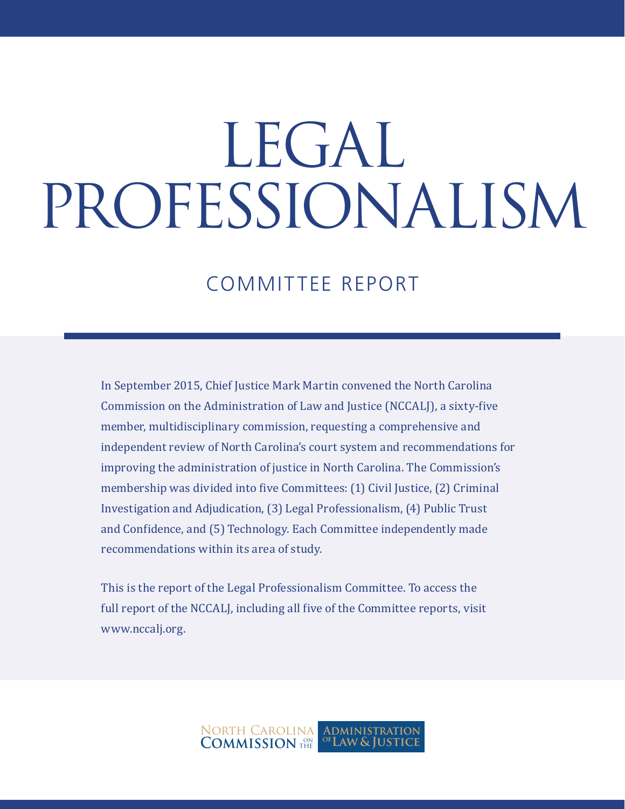# LEGAL PROFESSIONALISM

### COMMITTEE REPORT

In September 2015, Chief Justice Mark Martin convened the North Carolina Commission on the Administration of Law and Justice (NCCALJ), a sixty-five member, multidisciplinary commission, requesting a comprehensive and independent review of North Carolina's court system and recommendations for improving the administration of justice in North Carolina. The Commission's membership was divided into five Committees: (1) Civil Justice, (2) Criminal Investigation and Adjudication, (3) Legal Professionalism, (4) Public Trust and Confidence, and (5) Technology. Each Committee independently made recommendations within its area of study.

This is the report of the Legal Professionalism Committee. To access the full report of the NCCALJ, including all five of the Committee reports, visit www.nccalj.org.

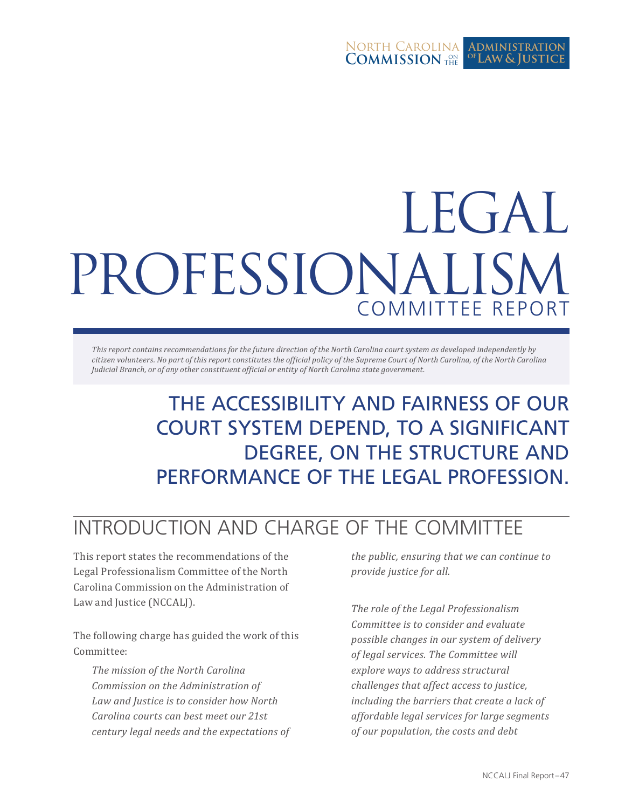#### North Carolina **COMMISSION** THE **Administration Law & Justice of**

## LEGAL PROFESSIONALISM COMMITTEE REPORT

*This report contains recommendations for the future direction of the North Carolina court system as developed independently by citizen volunteers. No part of this report constitutes the official policy of the Supreme Court of North Carolina, of the North Carolina Judicial Branch, or of any other constituent official or entity of North Carolina state government.*

## THE ACCESSIBILITY AND FAIRNESS OF OUR COURT SYSTEM DEPEND, TO A SIGNIFICANT DEGREE, ON THE STRUCTURE AND PERFORMANCE OF THE LEGAL PROFESSION.

## INTRODUCTION AND CHARGE OF THE COMMITTEE

This report states the recommendations of the Legal Professionalism Committee of the North Carolina Commission on the Administration of Law and Justice (NCCALJ).

The following charge has guided the work of this Committee:

*The mission of the North Carolina Commission on the Administration of Law and Justice is to consider how North Carolina courts can best meet our 21st century legal needs and the expectations of* 

*the public, ensuring that we can continue to provide justice for all.* 

*The role of the Legal Professionalism Committee is to consider and evaluate possible changes in our system of delivery of legal services. The Committee will explore ways to address structural challenges that affect access to justice, including the barriers that create a lack of affordable legal services for large segments of our population, the costs and debt*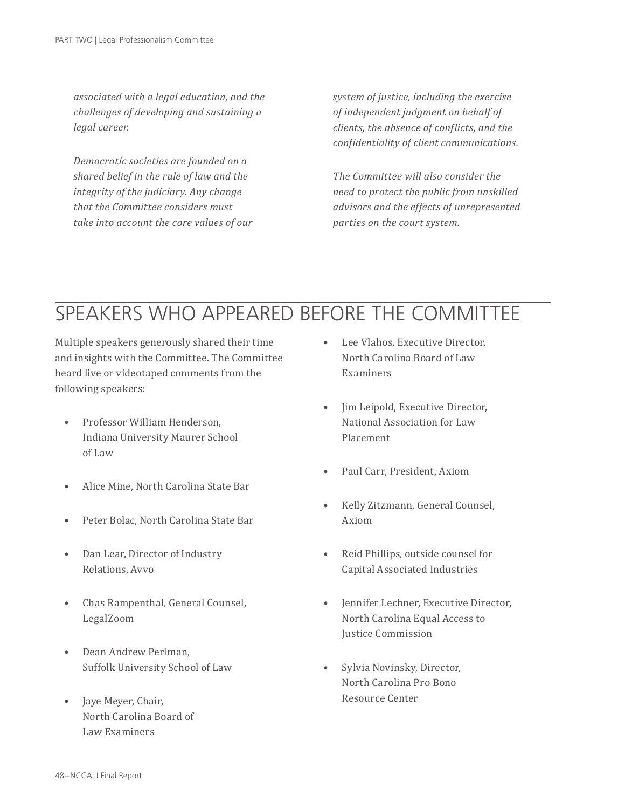*associated with a legal education, and the challenges of developing and sustaining a legal career.* 

*Democratic societies are founded on a shared belief in the rule of law and the integrity of the judiciary. Any change that the Committee considers must take into account the core values of our*  *system of justice, including the exercise of independent judgment on behalf of clients, the absence of conflicts, and the confidentiality of client communications.* 

*The Committee will also consider the need to protect the public from unskilled advisors and the effects of unrepresented parties on the court system.*

## SPEAKERS WHO APPEARED BEFORE THE COMMITTEE

Multiple speakers generously shared their time and insights with the Committee. The Committee heard live or videotaped comments from the following speakers:

- Professor William Henderson, Indiana University Maurer School of Law
- Alice Mine, North Carolina State Bar
- Peter Bolac, North Carolina State Bar
- Dan Lear, Director of Industry Relations, Avvo
- Chas Rampenthal, General Counsel, LegalZoom
- Dean Andrew Perlman, Suffolk University School of Law
- Jaye Meyer, Chair, North Carolina Board of Law Examiners
- Lee Vlahos, Executive Director. North Carolina Board of Law Examiners
- Jim Leipold, Executive Director, National Association for Law Placement
- Paul Carr, President, Axiom
- Kelly Zitzmann, General Counsel, Axiom
- Reid Phillips, outside counsel for Capital Associated Industries
- Jennifer Lechner, Executive Director, North Carolina Equal Access to Justice Commission
- Sylvia Novinsky, Director, North Carolina Pro Bono Resource Center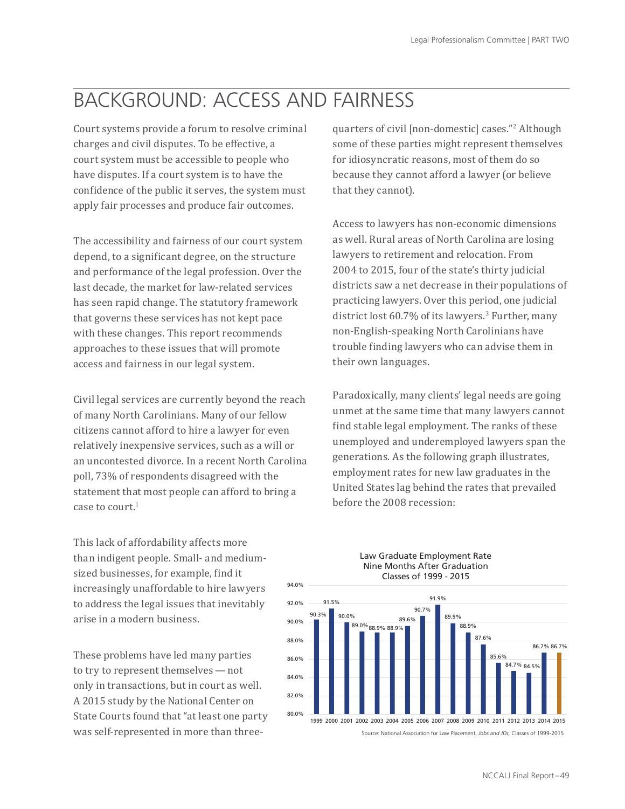## BACKGROUND: ACCESS AND FAIRNESS

Court systems provide a forum to resolve criminal charges and civil disputes. To be effective, a court system must be accessible to people who have disputes. If a court system is to have the confidence of the public it serves, the system must apply fair processes and produce fair outcomes.

The accessibility and fairness of our court system depend, to a significant degree, on the structure and performance of the legal profession. Over the last decade, the market for law-related services has seen rapid change. The statutory framework that governs these services has not kept pace with these changes. This report recommends approaches to these issues that will promote access and fairness in our legal system.

Civil legal services are currently beyond the reach of many North Carolinians. Many of our fellow citizens cannot afford to hire a lawyer for even 6 relatively inexpensive services, such as a will or 2 an uncontested divorce. In a recent North Carolina 0 poll, 73% of respondents disagreed with the statement that most people can afford to bring a case to court.1

This lack of affordability affects more than indigent people. Small- and mediumsized businesses, for example, find it increasingly unaffordable to hire lawyers to address the legal issues that inevitably arise in a modern business.

These problems have led many parties to try to represent themselves — not only in transactions, but in court as well. A 2015 study by the National Center on State Courts found that "at least one party was self-represented in more than three-

quarters of civil [non-domestic] cases."<sup>2</sup> Although some of these parties might represent themselves for idiosyncratic reasons, most of them do so because they cannot afford a lawyer (or believe that they cannot).

Access to lawyers has non-economic dimensions as well. Rural areas of North Carolina are losing lawyers to retirement and relocation. From 2004 to 2015, four of the state's thirty judicial districts saw a net decrease in their populations of practicing lawyers. Over this period, one judicial district lost 60.7% of its lawyers.<sup>3</sup> Further, many non-English-speaking North Carolinians have trouble finding lawyers who can advise them in their own languages.

Paradoxically, many clients' legal needs are going unmet at the same time that many lawyers cannot find stable legal employment. The ranks of these unemployed and underemployed lawyers span the generations. As the following graph illustrates, employment rates for new law graduates in the United States lag behind the rates that prevailed before the 2008 recession: Source: North Carolina Administrative Office of the Courts



Law Graduate Employment Rate Nine Months After Graduation Classes of 1999 - 2015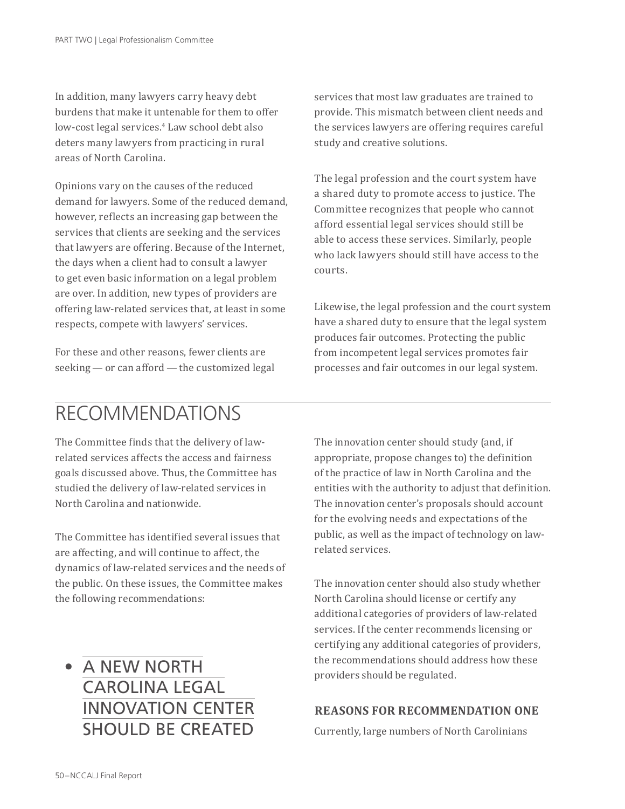In addition, many lawyers carry heavy debt burdens that make it untenable for them to offer low-cost legal services.4 Law school debt also deters many lawyers from practicing in rural areas of North Carolina.

Opinions vary on the causes of the reduced demand for lawyers. Some of the reduced demand, however, reflects an increasing gap between the services that clients are seeking and the services that lawyers are offering. Because of the Internet, the days when a client had to consult a lawyer to get even basic information on a legal problem are over. In addition, new types of providers are offering law-related services that, at least in some respects, compete with lawyers' services.

For these and other reasons, fewer clients are seeking — or can afford — the customized legal services that most law graduates are trained to provide. This mismatch between client needs and the services lawyers are offering requires careful study and creative solutions.

The legal profession and the court system have a shared duty to promote access to justice. The Committee recognizes that people who cannot afford essential legal services should still be able to access these services. Similarly, people who lack lawyers should still have access to the courts.

Likewise, the legal profession and the court system have a shared duty to ensure that the legal system produces fair outcomes. Protecting the public from incompetent legal services promotes fair processes and fair outcomes in our legal system.

## RECOMMENDATIONS

The Committee finds that the delivery of lawrelated services affects the access and fairness goals discussed above. Thus, the Committee has studied the delivery of law-related services in North Carolina and nationwide.

The Committee has identified several issues that are affecting, and will continue to affect, the dynamics of law-related services and the needs of the public. On these issues, the Committee makes the following recommendations:

• A NEW NORTH CAROLINA LEGAL INNOVATION CENTER SHOULD BE CREATED The innovation center should study (and, if appropriate, propose changes to) the definition of the practice of law in North Carolina and the entities with the authority to adjust that definition. The innovation center's proposals should account for the evolving needs and expectations of the public, as well as the impact of technology on lawrelated services.

The innovation center should also study whether North Carolina should license or certify any additional categories of providers of law-related services. If the center recommends licensing or certifying any additional categories of providers, the recommendations should address how these providers should be regulated.

#### **REASONS FOR RECOMMENDATION ONE**

Currently, large numbers of North Carolinians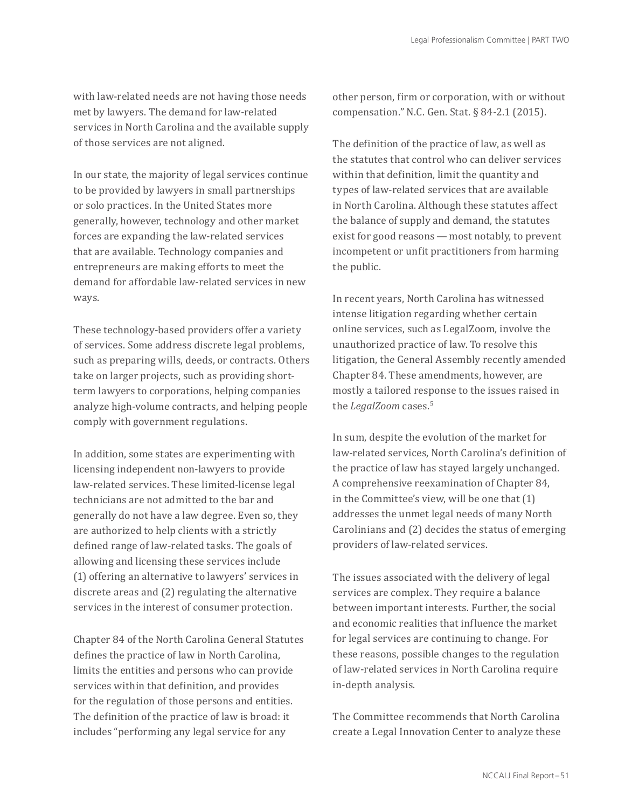with law-related needs are not having those needs met by lawyers. The demand for law-related services in North Carolina and the available supply of those services are not aligned.

In our state, the majority of legal services continue to be provided by lawyers in small partnerships or solo practices. In the United States more generally, however, technology and other market forces are expanding the law-related services that are available. Technology companies and entrepreneurs are making efforts to meet the demand for affordable law-related services in new ways.

These technology-based providers offer a variety of services. Some address discrete legal problems, such as preparing wills, deeds, or contracts. Others take on larger projects, such as providing shortterm lawyers to corporations, helping companies analyze high-volume contracts, and helping people comply with government regulations.

In addition, some states are experimenting with licensing independent non-lawyers to provide law-related services. These limited-license legal technicians are not admitted to the bar and generally do not have a law degree. Even so, they are authorized to help clients with a strictly defined range of law-related tasks. The goals of allowing and licensing these services include (1) offering an alternative to lawyers' services in discrete areas and (2) regulating the alternative services in the interest of consumer protection.

Chapter 84 of the North Carolina General Statutes defines the practice of law in North Carolina, limits the entities and persons who can provide services within that definition, and provides for the regulation of those persons and entities. The definition of the practice of law is broad: it includes "performing any legal service for any

other person, firm or corporation, with or without compensation." N.C. Gen. Stat. § 84-2.1 (2015).

The definition of the practice of law, as well as the statutes that control who can deliver services within that definition, limit the quantity and types of law-related services that are available in North Carolina. Although these statutes affect the balance of supply and demand, the statutes exist for good reasons — most notably, to prevent incompetent or unfit practitioners from harming the public.

In recent years, North Carolina has witnessed intense litigation regarding whether certain online services, such as LegalZoom, involve the unauthorized practice of law. To resolve this litigation, the General Assembly recently amended Chapter 84. These amendments, however, are mostly a tailored response to the issues raised in the *LegalZoom* cases.<sup>5</sup>

In sum, despite the evolution of the market for law-related services, North Carolina's definition of the practice of law has stayed largely unchanged. A comprehensive reexamination of Chapter 84, in the Committee's view, will be one that (1) addresses the unmet legal needs of many North Carolinians and (2) decides the status of emerging providers of law-related services.

The issues associated with the delivery of legal services are complex. They require a balance between important interests. Further, the social and economic realities that influence the market for legal services are continuing to change. For these reasons, possible changes to the regulation of law-related services in North Carolina require in-depth analysis.

The Committee recommends that North Carolina create a Legal Innovation Center to analyze these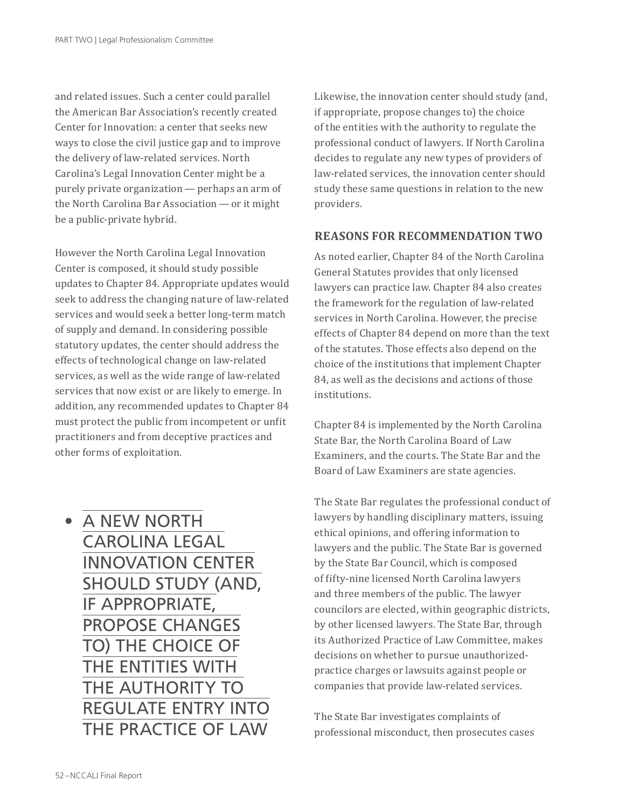and related issues. Such a center could parallel the American Bar Association's recently created Center for Innovation: a center that seeks new ways to close the civil justice gap and to improve the delivery of law-related services. North Carolina's Legal Innovation Center might be a purely private organization — perhaps an arm of the North Carolina Bar Association — or it might be a public-private hybrid.

However the North Carolina Legal Innovation Center is composed, it should study possible updates to Chapter 84. Appropriate updates would seek to address the changing nature of law-related services and would seek a better long-term match of supply and demand. In considering possible statutory updates, the center should address the effects of technological change on law-related services, as well as the wide range of law-related services that now exist or are likely to emerge. In addition, any recommended updates to Chapter 84 must protect the public from incompetent or unfit practitioners and from deceptive practices and other forms of exploitation.

• A NEW NORTH CAROLINA LEGAL INNOVATION CENTER SHOULD STUDY (AND, IF APPROPRIATE, PROPOSE CHANGES TO) THE CHOICE OF THE ENTITIES WITH THE AUTHORITY TO REGULATE ENTRY INTO THE PRACTICE OF LAW

Likewise, the innovation center should study (and, if appropriate, propose changes to) the choice of the entities with the authority to regulate the professional conduct of lawyers. If North Carolina decides to regulate any new types of providers of law-related services, the innovation center should study these same questions in relation to the new providers.

#### **REASONS FOR RECOMMENDATION TWO**

As noted earlier, Chapter 84 of the North Carolina General Statutes provides that only licensed lawyers can practice law. Chapter 84 also creates the framework for the regulation of law-related services in North Carolina. However, the precise effects of Chapter 84 depend on more than the text of the statutes. Those effects also depend on the choice of the institutions that implement Chapter 84, as well as the decisions and actions of those institutions.

Chapter 84 is implemented by the North Carolina State Bar, the North Carolina Board of Law Examiners, and the courts. The State Bar and the Board of Law Examiners are state agencies.

The State Bar regulates the professional conduct of lawyers by handling disciplinary matters, issuing ethical opinions, and offering information to lawyers and the public. The State Bar is governed by the State Bar Council, which is composed of fifty-nine licensed North Carolina lawyers and three members of the public. The lawyer councilors are elected, within geographic districts, by other licensed lawyers. The State Bar, through its Authorized Practice of Law Committee, makes decisions on whether to pursue unauthorizedpractice charges or lawsuits against people or companies that provide law-related services.

The State Bar investigates complaints of professional misconduct, then prosecutes cases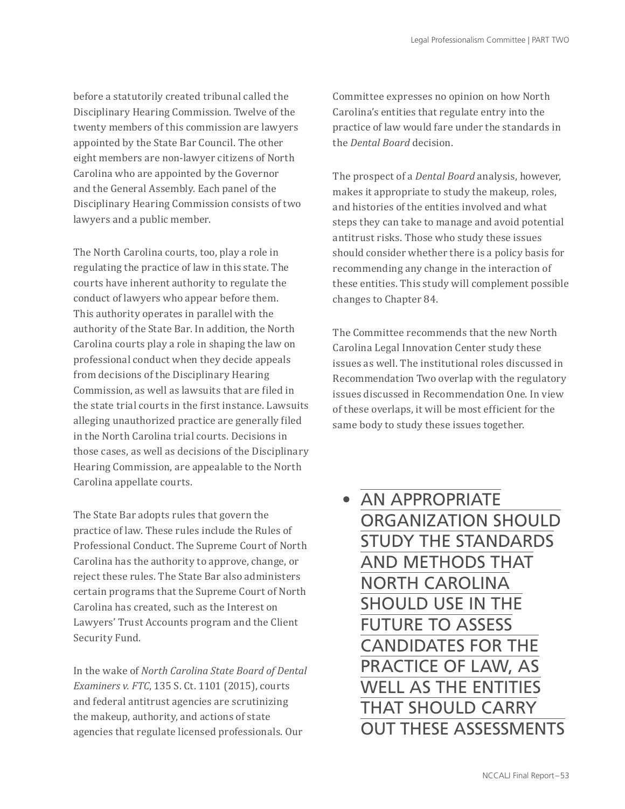before a statutorily created tribunal called the Disciplinary Hearing Commission. Twelve of the twenty members of this commission are lawyers appointed by the State Bar Council. The other eight members are non-lawyer citizens of North Carolina who are appointed by the Governor and the General Assembly. Each panel of the Disciplinary Hearing Commission consists of two lawyers and a public member.

The North Carolina courts, too, play a role in regulating the practice of law in this state. The courts have inherent authority to regulate the conduct of lawyers who appear before them. This authority operates in parallel with the authority of the State Bar. In addition, the North Carolina courts play a role in shaping the law on professional conduct when they decide appeals from decisions of the Disciplinary Hearing Commission, as well as lawsuits that are filed in the state trial courts in the first instance. Lawsuits alleging unauthorized practice are generally filed in the North Carolina trial courts. Decisions in those cases, as well as decisions of the Disciplinary Hearing Commission, are appealable to the North Carolina appellate courts.

The State Bar adopts rules that govern the practice of law. These rules include the Rules of Professional Conduct. The Supreme Court of North Carolina has the authority to approve, change, or reject these rules. The State Bar also administers certain programs that the Supreme Court of North Carolina has created, such as the Interest on Lawyers' Trust Accounts program and the Client Security Fund.

In the wake of *North Carolina State Board of Dental Examiners v. FTC*, 135 S. Ct. 1101 (2015), courts and federal antitrust agencies are scrutinizing the makeup, authority, and actions of state agencies that regulate licensed professionals. Our

Committee expresses no opinion on how North Carolina's entities that regulate entry into the practice of law would fare under the standards in the *Dental Board* decision.

The prospect of a *Dental Board* analysis, however, makes it appropriate to study the makeup, roles, and histories of the entities involved and what steps they can take to manage and avoid potential antitrust risks. Those who study these issues should consider whether there is a policy basis for recommending any change in the interaction of these entities. This study will complement possible changes to Chapter 84.

The Committee recommends that the new North Carolina Legal Innovation Center study these issues as well. The institutional roles discussed in Recommendation Two overlap with the regulatory issues discussed in Recommendation One. In view of these overlaps, it will be most efficient for the same body to study these issues together.

• AN APPROPRIATE ORGANIZATION SHOULD STUDY THE STANDARDS AND METHODS THAT NORTH CAROLINA SHOULD USE IN THE FUTURE TO ASSESS CANDIDATES FOR THE PRACTICE OF LAW, AS WELL AS THE ENTITIES THAT SHOULD CARRY OUT THESE ASSESSMENTS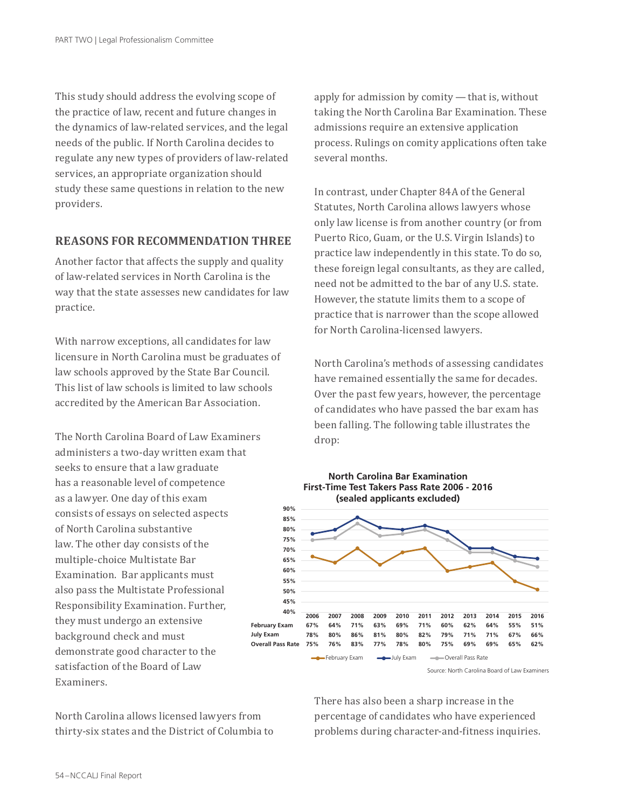This study should address the evolving scope of the practice of law, recent and future changes in the dynamics of law-related services, and the legal needs of the public. If North Carolina decides to regulate any new types of providers of law-related services, an appropriate organization should study these same questions in relation to the new providers.

#### **REASONS FOR RECOMMENDATION THREE**

Another factor that affects the supply and quality of law-related services in North Carolina is the way that the state assesses new candidates for law practice.

With narrow exceptions, all candidates for law licensure in North Carolina must be graduates of law schools approved by the State Bar Council. This list of law schools is limited to law schools accredited by the American Bar Association.

The North Carolina Board of Law Examiners administers a two-day written exam that seeks to ensure that a law graduate has a reasonable level of competence as a lawyer. One day of this exam consists of essays on selected aspects of North Carolina substantive law. The other day consists of the multiple-choice Multistate Bar Examination. Bar applicants must also pass the Multistate Professional Responsibility Examination. Further, they must undergo an extensive background check and must demonstrate good character to the satisfaction of the Board of Law Examiners.

North Carolina allows licensed lawyers from thirty-six states and the District of Columbia to

apply for admission by comity — that is, without taking the North Carolina Bar Examination. These admissions require an extensive application process. Rulings on comity applications often take several months.

In contrast, under Chapter 84A of the General Statutes, North Carolina allows lawyers whose only law license is from another country (or from Puerto Rico, Guam, or the U.S. Virgin Islands) to practice law independently in this state. To do so, these foreign legal consultants, as they are called, need not be admitted to the bar of any U.S. state. However, the statute limits them to a scope of practice that is narrower than the scope allowed for North Carolina-licensed lawyers.

North Carolina's methods of assessing candidates have remained essentially the same for decades. Over the past few years, however, the percentage of candidates who have passed the bar exam has been falling. The following table illustrates the drop:



**North Carolina Bar Examination**

There has also been a sharp increase in the percentage of candidates who have experienced problems during character-and-fitness inquiries.

Source: North Carolina Board of Law Examiners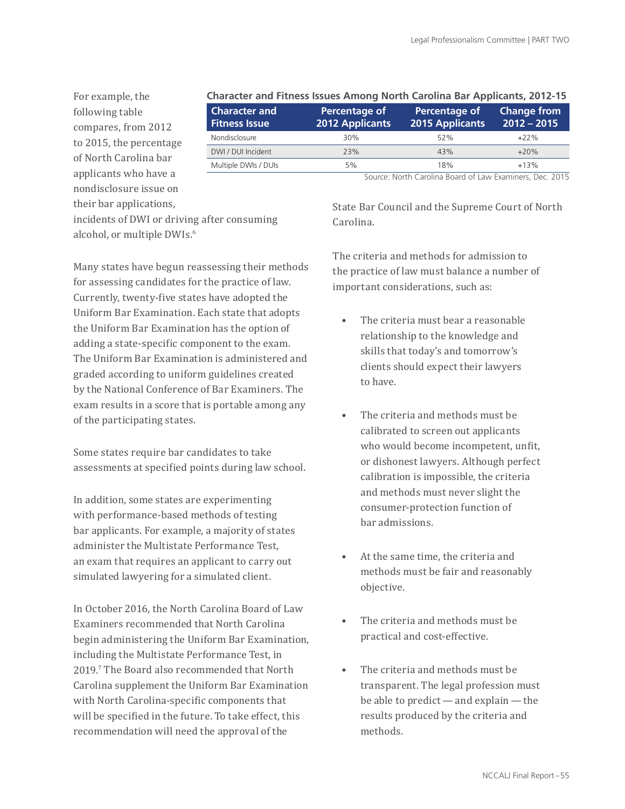For example, the following table compares, from 2012 to 2015, the percentage of North Carolina bar applicants who have a nondisclosure issue on their bar applications,

#### **Character and Fitness Issues Among North Carolina Bar Applicants, 2012-15**

| <b>Character and</b><br><b>Fitness Issue</b> | Percentage of<br><b>2012 Applicants</b> | Percentage of<br><b>2015 Applicants</b> | <b>Change from</b><br>$2012 - 2015$ |
|----------------------------------------------|-----------------------------------------|-----------------------------------------|-------------------------------------|
| Nondisclosure                                | 30%                                     | 52%                                     | $+22%$                              |
| DWI / DUI Incident                           | 23%                                     | 43%                                     | $+20%$                              |
| Multiple DWIs / DUIs                         | 5%                                      | 18%                                     | $+13%$                              |

incidents of DWI or driving after consuming alcohol, or multiple DWIs.<sup>6</sup>

Many states have begun reassessing their methods for assessing candidates for the practice of law. Currently, twenty-five states have adopted the Uniform Bar Examination. Each state that adopts the Uniform Bar Examination has the option of adding a state-specific component to the exam. The Uniform Bar Examination is administered and graded according to uniform guidelines created by the National Conference of Bar Examiners. The exam results in a score that is portable among any of the participating states.

Some states require bar candidates to take assessments at specified points during law school.

In addition, some states are experimenting with performance-based methods of testing bar applicants. For example, a majority of states administer the Multistate Performance Test, an exam that requires an applicant to carry out simulated lawyering for a simulated client.

In October 2016, the North Carolina Board of Law Examiners recommended that North Carolina begin administering the Uniform Bar Examination, including the Multistate Performance Test, in 2019.7 The Board also recommended that North Carolina supplement the Uniform Bar Examination with North Carolina-specific components that will be specified in the future. To take effect, this recommendation will need the approval of the

Source: North Carolina Board of Law Examiners, Dec. 2015

State Bar Council and the Supreme Court of North Carolina.

The criteria and methods for admission to the practice of law must balance a number of important considerations, such as:

- The criteria must bear a reasonable relationship to the knowledge and skills that today's and tomorrow's clients should expect their lawyers to have.
- The criteria and methods must be calibrated to screen out applicants who would become incompetent, unfit, or dishonest lawyers. Although perfect calibration is impossible, the criteria and methods must never slight the consumer-protection function of bar admissions.
- At the same time, the criteria and methods must be fair and reasonably objective.
- The criteria and methods must be practical and cost-effective.
- The criteria and methods must be transparent. The legal profession must be able to predict — and explain — the results produced by the criteria and methods.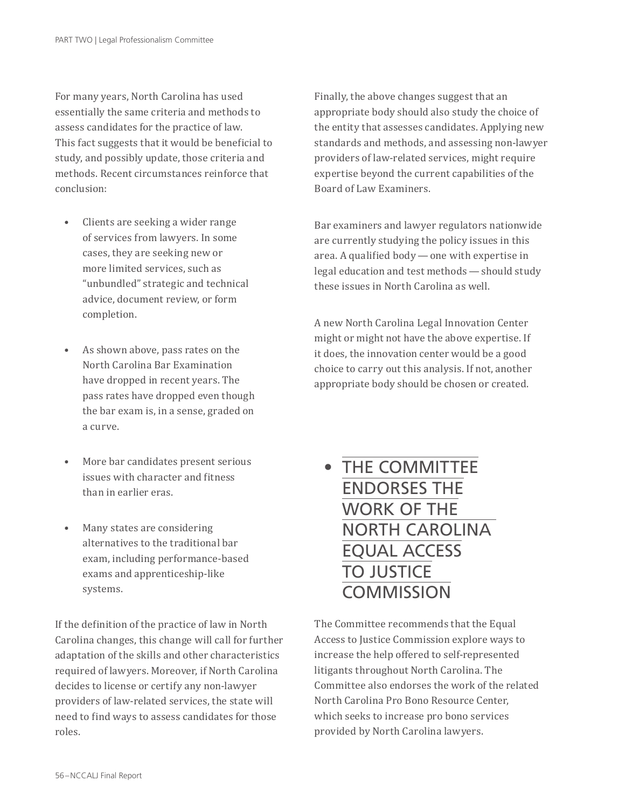For many years, North Carolina has used essentially the same criteria and methods to assess candidates for the practice of law. This fact suggests that it would be beneficial to study, and possibly update, those criteria and methods. Recent circumstances reinforce that conclusion:

- Clients are seeking a wider range of services from lawyers. In some cases, they are seeking new or more limited services, such as "unbundled" strategic and technical advice, document review, or form completion.
- As shown above, pass rates on the North Carolina Bar Examination have dropped in recent years. The pass rates have dropped even though the bar exam is, in a sense, graded on a curve.
- More bar candidates present serious issues with character and fitness than in earlier eras.
- Many states are considering alternatives to the traditional bar exam, including performance-based exams and apprenticeship-like systems.

If the definition of the practice of law in North Carolina changes, this change will call for further adaptation of the skills and other characteristics required of lawyers. Moreover, if North Carolina decides to license or certify any non-lawyer providers of law-related services, the state will need to find ways to assess candidates for those roles.

Finally, the above changes suggest that an appropriate body should also study the choice of the entity that assesses candidates. Applying new standards and methods, and assessing non-lawyer providers of law-related services, might require expertise beyond the current capabilities of the Board of Law Examiners.

Bar examiners and lawyer regulators nationwide are currently studying the policy issues in this area. A qualified body — one with expertise in legal education and test methods — should study these issues in North Carolina as well.

A new North Carolina Legal Innovation Center might or might not have the above expertise. If it does, the innovation center would be a good choice to carry out this analysis. If not, another appropriate body should be chosen or created.

• THE COMMITTEE ENDORSES THE WORK OF THE NORTH CAROLINA EQUAL ACCESS TO JUSTICE **COMMISSION** 

The Committee recommends that the Equal Access to Justice Commission explore ways to increase the help offered to self-represented litigants throughout North Carolina. The Committee also endorses the work of the related North Carolina Pro Bono Resource Center, which seeks to increase pro bono services provided by North Carolina lawyers.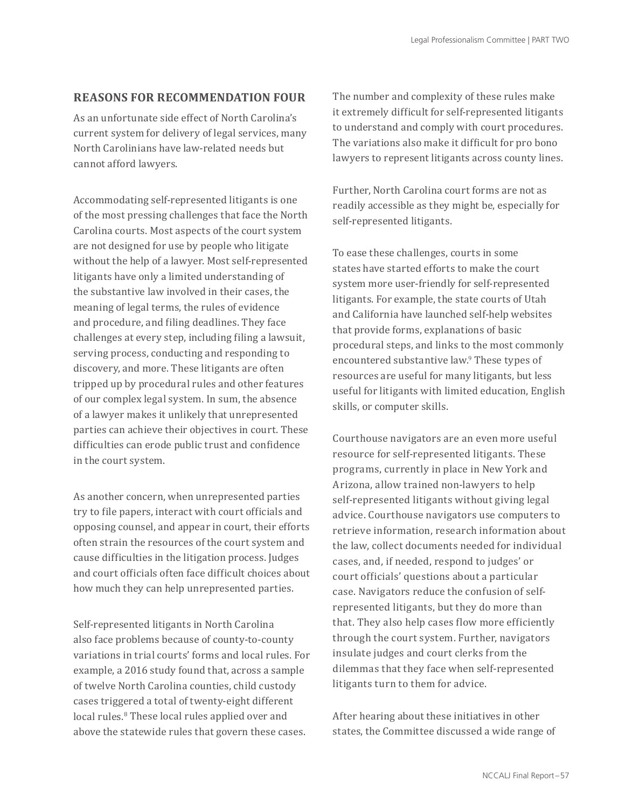#### **REASONS FOR RECOMMENDATION FOUR**

As an unfortunate side effect of North Carolina's current system for delivery of legal services, many North Carolinians have law-related needs but cannot afford lawyers.

Accommodating self-represented litigants is one of the most pressing challenges that face the North Carolina courts. Most aspects of the court system are not designed for use by people who litigate without the help of a lawyer. Most self-represented litigants have only a limited understanding of the substantive law involved in their cases, the meaning of legal terms, the rules of evidence and procedure, and filing deadlines. They face challenges at every step, including filing a lawsuit, serving process, conducting and responding to discovery, and more. These litigants are often tripped up by procedural rules and other features of our complex legal system. In sum, the absence of a lawyer makes it unlikely that unrepresented parties can achieve their objectives in court. These difficulties can erode public trust and confidence in the court system.

As another concern, when unrepresented parties try to file papers, interact with court officials and opposing counsel, and appear in court, their efforts often strain the resources of the court system and cause difficulties in the litigation process. Judges and court officials often face difficult choices about how much they can help unrepresented parties.

Self-represented litigants in North Carolina also face problems because of county-to-county variations in trial courts' forms and local rules. For example, a 2016 study found that, across a sample of twelve North Carolina counties, child custody cases triggered a total of twenty-eight different local rules.<sup>8</sup> These local rules applied over and above the statewide rules that govern these cases.

The number and complexity of these rules make it extremely difficult for self-represented litigants to understand and comply with court procedures. The variations also make it difficult for pro bono lawyers to represent litigants across county lines.

Further, North Carolina court forms are not as readily accessible as they might be, especially for self-represented litigants.

To ease these challenges, courts in some states have started efforts to make the court system more user-friendly for self-represented litigants. For example, the state courts of Utah and California have launched self-help websites that provide forms, explanations of basic procedural steps, and links to the most commonly encountered substantive law.9 These types of resources are useful for many litigants, but less useful for litigants with limited education, English skills, or computer skills.

Courthouse navigators are an even more useful resource for self-represented litigants. These programs, currently in place in New York and Arizona, allow trained non-lawyers to help self-represented litigants without giving legal advice. Courthouse navigators use computers to retrieve information, research information about the law, collect documents needed for individual cases, and, if needed, respond to judges' or court officials' questions about a particular case. Navigators reduce the confusion of selfrepresented litigants, but they do more than that. They also help cases flow more efficiently through the court system. Further, navigators insulate judges and court clerks from the dilemmas that they face when self-represented litigants turn to them for advice.

After hearing about these initiatives in other states, the Committee discussed a wide range of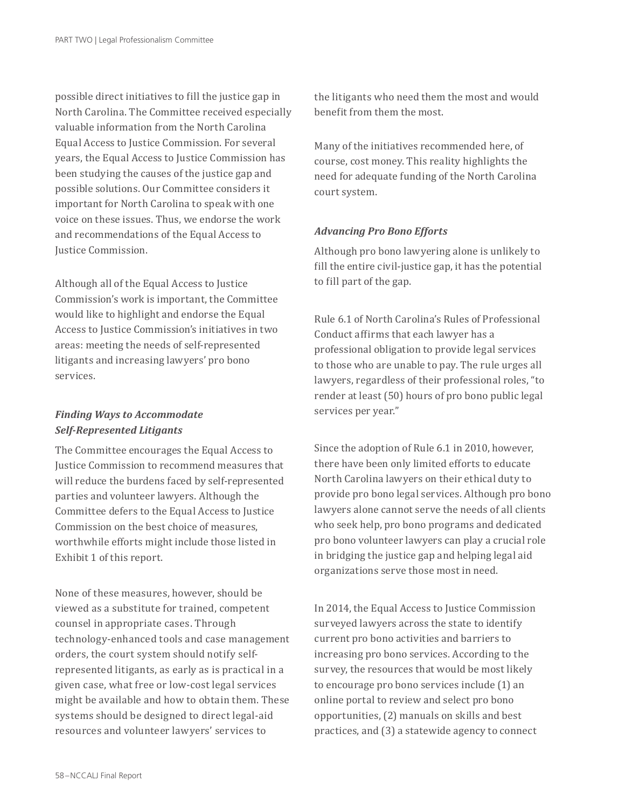possible direct initiatives to fill the justice gap in North Carolina. The Committee received especially valuable information from the North Carolina Equal Access to Justice Commission. For several years, the Equal Access to Justice Commission has been studying the causes of the justice gap and possible solutions. Our Committee considers it important for North Carolina to speak with one voice on these issues. Thus, we endorse the work and recommendations of the Equal Access to Justice Commission.

Although all of the Equal Access to Justice Commission's work is important, the Committee would like to highlight and endorse the Equal Access to Justice Commission's initiatives in two areas: meeting the needs of self-represented litigants and increasing lawyers' pro bono services.

#### *Finding Ways to Accommodate Self-Represented Litigants*

The Committee encourages the Equal Access to Justice Commission to recommend measures that will reduce the burdens faced by self-represented parties and volunteer lawyers. Although the Committee defers to the Equal Access to Justice Commission on the best choice of measures, worthwhile efforts might include those listed in Exhibit 1 of this report.

None of these measures, however, should be viewed as a substitute for trained, competent counsel in appropriate cases. Through technology-enhanced tools and case management orders, the court system should notify selfrepresented litigants, as early as is practical in a given case, what free or low-cost legal services might be available and how to obtain them. These systems should be designed to direct legal-aid resources and volunteer lawyers' services to

the litigants who need them the most and would benefit from them the most.

Many of the initiatives recommended here, of course, cost money. This reality highlights the need for adequate funding of the North Carolina court system.

#### *Advancing Pro Bono Efforts*

Although pro bono lawyering alone is unlikely to fill the entire civil-justice gap, it has the potential to fill part of the gap.

Rule 6.1 of North Carolina's Rules of Professional Conduct affirms that each lawyer has a professional obligation to provide legal services to those who are unable to pay. The rule urges all lawyers, regardless of their professional roles, "to render at least (50) hours of pro bono public legal services per year."

Since the adoption of Rule 6.1 in 2010, however, there have been only limited efforts to educate North Carolina lawyers on their ethical duty to provide pro bono legal services. Although pro bono lawyers alone cannot serve the needs of all clients who seek help, pro bono programs and dedicated pro bono volunteer lawyers can play a crucial role in bridging the justice gap and helping legal aid organizations serve those most in need.

In 2014, the Equal Access to Justice Commission surveyed lawyers across the state to identify current pro bono activities and barriers to increasing pro bono services. According to the survey, the resources that would be most likely to encourage pro bono services include (1) an online portal to review and select pro bono opportunities, (2) manuals on skills and best practices, and (3) a statewide agency to connect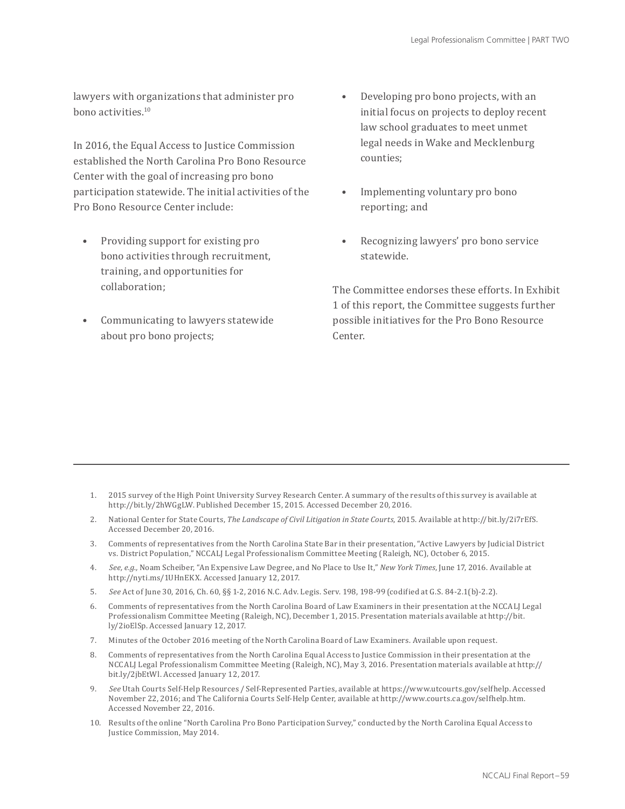lawyers with organizations that administer pro bono activities.10

In 2016, the Equal Access to Justice Commission established the North Carolina Pro Bono Resource Center with the goal of increasing pro bono participation statewide. The initial activities of the Pro Bono Resource Center include:

- Providing support for existing pro bono activities through recruitment, training, and opportunities for collaboration;
- Communicating to lawyers statewide about pro bono projects;
- Developing pro bono projects, with an initial focus on projects to deploy recent law school graduates to meet unmet legal needs in Wake and Mecklenburg counties;
- Implementing voluntary pro bono reporting; and
- Recognizing lawyers' pro bono service statewide.

The Committee endorses these efforts. In Exhibit 1 of this report, the Committee suggests further possible initiatives for the Pro Bono Resource Center.

- 1. 2015 survey of the High Point University Survey Research Center. A summary of the results of this survey is available at http://bit.ly/2hWGgLW. Published December 15, 2015. Accessed December 20, 2016.
- 2. National Center for State Courts, *The Landscape of Civil Litigation in State Courts*, 2015. Available at http://bit.ly/2i7rEfS. Accessed December 20, 2016.
- 3. Comments of representatives from the North Carolina State Bar in their presentation, "Active Lawyers by Judicial District vs. District Population," NCCALJ Legal Professionalism Committee Meeting (Raleigh, NC), October 6, 2015.
- 4. *See, e.g.,* Noam Scheiber, "An Expensive Law Degree, and No Place to Use It," *New York Times*, June 17, 2016. Available at http://nyti.ms/1UHnEKX. Accessed January 12, 2017.
- 5. *See* Act of June 30, 2016, Ch. 60, §§ 1-2, 2016 N.C. Adv. Legis. Serv. 198, 198-99 (codified at G.S. 84-2.1(b)-2.2).
- 6. Comments of representatives from the North Carolina Board of Law Examiners in their presentation at the NCCALJ Legal Professionalism Committee Meeting (Raleigh, NC), December 1, 2015. Presentation materials available at http://bit. ly/2ioElSp. Accessed January 12, 2017.
- 7. Minutes of the October 2016 meeting of the North Carolina Board of Law Examiners. Available upon request.
- 8. Comments of representatives from the North Carolina Equal Access to Justice Commission in their presentation at the NCCALJ Legal Professionalism Committee Meeting (Raleigh, NC), May 3, 2016. Presentation materials available at http:// bit.ly/2jbEtWl. Accessed January 12, 2017.
- 9. *See* Utah Courts Self-Help Resources / Self-Represented Parties, available at https://www.utcourts.gov/selfhelp. Accessed November 22, 2016; and The California Courts Self-Help Center, available at http://www.courts.ca.gov/selfhelp.htm. Accessed November 22, 2016.
- 10. Results of the online "North Carolina Pro Bono Participation Survey," conducted by the North Carolina Equal Access to Justice Commission, May 2014.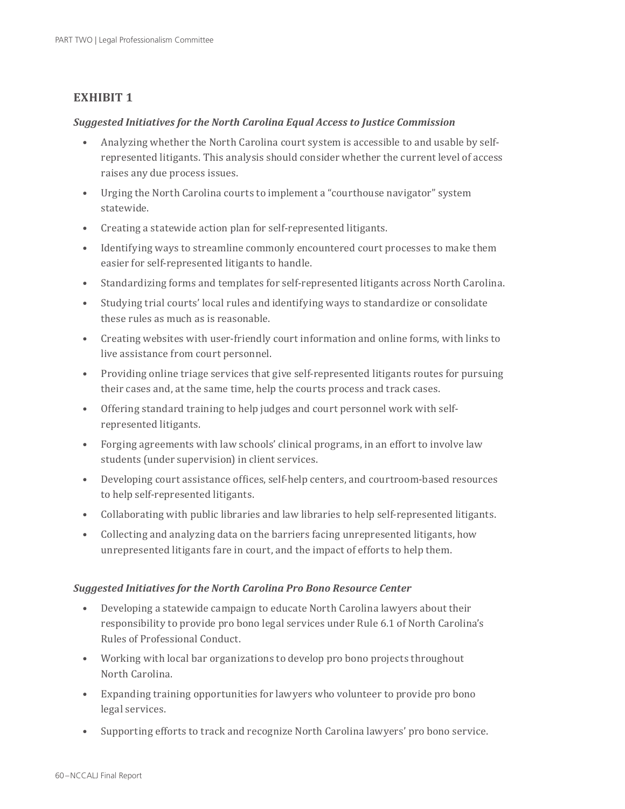#### **EXHIBIT 1**

#### *Suggested Initiatives for the North Carolina Equal Access to Justice Commission*

- Analyzing whether the North Carolina court system is accessible to and usable by selfrepresented litigants. This analysis should consider whether the current level of access raises any due process issues.
- Urging the North Carolina courts to implement a "courthouse navigator" system statewide.
- Creating a statewide action plan for self-represented litigants.
- Identifying ways to streamline commonly encountered court processes to make them easier for self-represented litigants to handle.
- Standardizing forms and templates for self-represented litigants across North Carolina.
- Studying trial courts' local rules and identifying ways to standardize or consolidate these rules as much as is reasonable.
- Creating websites with user-friendly court information and online forms, with links to live assistance from court personnel.
- Providing online triage services that give self-represented litigants routes for pursuing their cases and, at the same time, help the courts process and track cases.
- Offering standard training to help judges and court personnel work with selfrepresented litigants.
- Forging agreements with law schools' clinical programs, in an effort to involve law students (under supervision) in client services.
- Developing court assistance offices, self-help centers, and courtroom-based resources to help self-represented litigants.
- Collaborating with public libraries and law libraries to help self-represented litigants.
- Collecting and analyzing data on the barriers facing unrepresented litigants, how unrepresented litigants fare in court, and the impact of efforts to help them.

#### *Suggested Initiatives for the North Carolina Pro Bono Resource Center*

- Developing a statewide campaign to educate North Carolina lawyers about their responsibility to provide pro bono legal services under Rule 6.1 of North Carolina's Rules of Professional Conduct.
- Working with local bar organizations to develop pro bono projects throughout North Carolina.
- Expanding training opportunities for lawyers who volunteer to provide pro bono legal services.
- Supporting efforts to track and recognize North Carolina lawyers' pro bono service.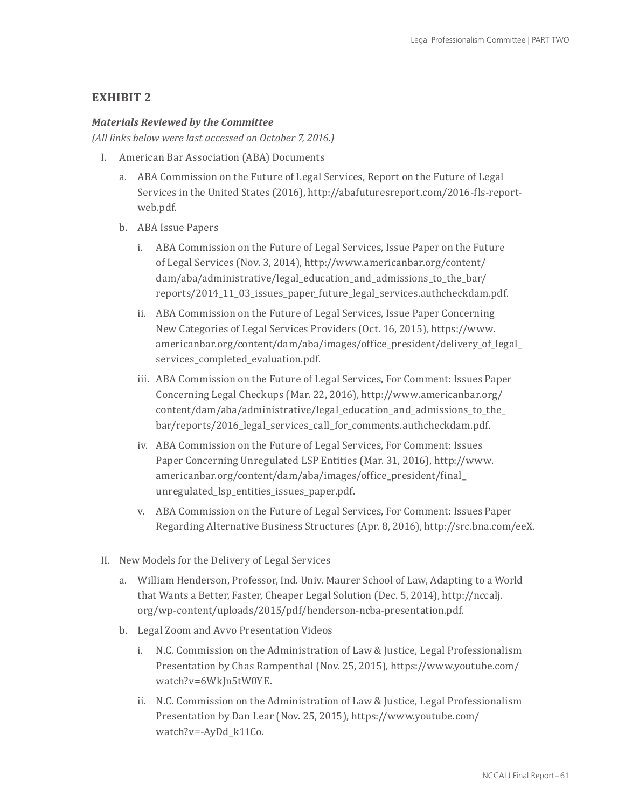#### **EXHIBIT 2**

#### *Materials Reviewed by the Committee*

*(All links below were last accessed on October 7, 2016.)*

- I. American Bar Association (ABA) Documents
	- a. ABA Commission on the Future of Legal Services, Report on the Future of Legal Services in the United States (2016), http://abafuturesreport.com/2016-fls-reportweb.pdf.
	- b. ABA Issue Papers
		- i. ABA Commission on the Future of Legal Services, Issue Paper on the Future of Legal Services (Nov. 3, 2014), http://www.americanbar.org/content/ dam/aba/administrative/legal\_education\_and\_admissions\_to\_the\_bar/ reports/2014\_11\_03\_issues\_paper\_future\_legal\_services.authcheckdam.pdf.
		- ii. ABA Commission on the Future of Legal Services, Issue Paper Concerning New Categories of Legal Services Providers (Oct. 16, 2015), https://www. americanbar.org/content/dam/aba/images/office\_president/delivery\_of\_legal\_ services\_completed\_evaluation.pdf.
		- iii. ABA Commission on the Future of Legal Services, For Comment: Issues Paper Concerning Legal Checkups (Mar. 22, 2016), http://www.americanbar.org/ content/dam/aba/administrative/legal\_education\_and\_admissions\_to\_the\_ bar/reports/2016\_legal\_services\_call\_for\_comments.authcheckdam.pdf.
		- iv. ABA Commission on the Future of Legal Services, For Comment: Issues Paper Concerning Unregulated LSP Entities (Mar. 31, 2016), http://www. americanbar.org/content/dam/aba/images/office\_president/final\_ unregulated\_lsp\_entities\_issues\_paper.pdf.
		- v. ABA Commission on the Future of Legal Services, For Comment: Issues Paper Regarding Alternative Business Structures (Apr. 8, 2016), http://src.bna.com/eeX.
- II. New Models for the Delivery of Legal Services
	- a. William Henderson, Professor, Ind. Univ. Maurer School of Law, Adapting to a World that Wants a Better, Faster, Cheaper Legal Solution (Dec. 5, 2014), http://nccalj. org/wp-content/uploads/2015/pdf/henderson-ncba-presentation.pdf.
	- b. Legal Zoom and Avvo Presentation Videos
		- i. N.C. Commission on the Administration of Law & Justice, Legal Professionalism Presentation by Chas Rampenthal (Nov. 25, 2015), https://www.youtube.com/ watch?v=6WkJn5tW0YE.
		- ii. N.C. Commission on the Administration of Law & Justice, Legal Professionalism Presentation by Dan Lear (Nov. 25, 2015), https://www.youtube.com/ watch?v=-AyDd\_k11Co.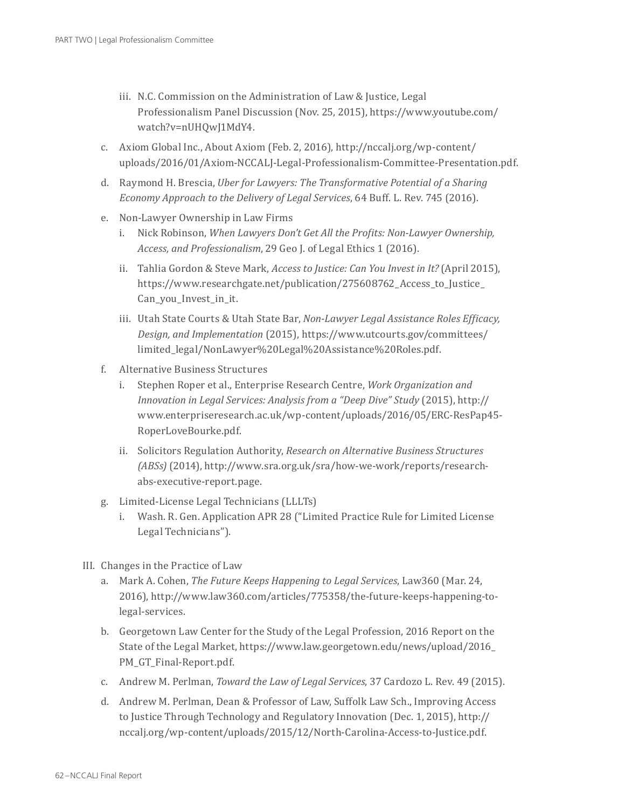- iii. N.C. Commission on the Administration of Law & Justice, Legal Professionalism Panel Discussion (Nov. 25, 2015), https://www.youtube.com/ watch?v=nUHQwJ1MdY4.
- c. Axiom Global Inc., About Axiom (Feb. 2, 2016), http://nccalj.org/wp-content/ uploads/2016/01/Axiom-NCCALJ-Legal-Professionalism-Committee-Presentation.pdf.
- d. Raymond H. Brescia, *Uber for Lawyers: The Transformative Potential of a Sharing Economy Approach to the Delivery of Legal Services*, 64 Buff. L. Rev. 745 (2016).
- e. Non-Lawyer Ownership in Law Firms
	- i. Nick Robinson, *When Lawyers Don't Get All the Profits: Non-Lawyer Ownership, Access, and Professionalism*, 29 Geo J. of Legal Ethics 1 (2016).
	- ii. Tahlia Gordon & Steve Mark, *Access to Justice: Can You Invest in It?* (April 2015), https://www.researchgate.net/publication/275608762\_Access\_to\_Justice\_ Can\_you\_Invest\_in\_it.
	- iii. Utah State Courts & Utah State Bar, *Non-Lawyer Legal Assistance Roles Efficacy, Design, and Implementation* (2015), https://www.utcourts.gov/committees/ limited\_legal/NonLawyer%20Legal%20Assistance%20Roles.pdf.
- f. Alternative Business Structures
	- i. Stephen Roper et al., Enterprise Research Centre, *Work Organization and Innovation in Legal Services: Analysis from a "Deep Dive" Study* (2015), http:// www.enterpriseresearch.ac.uk/wp-content/uploads/2016/05/ERC-ResPap45- RoperLoveBourke.pdf.
	- ii. Solicitors Regulation Authority, *Research on Alternative Business Structures (ABSs)* (2014), http://www.sra.org.uk/sra/how-we-work/reports/researchabs-executive-report.page.
- g. Limited-License Legal Technicians (LLLTs)
	- i. Wash. R. Gen. Application APR 28 ("Limited Practice Rule for Limited License Legal Technicians").
- III. Changes in the Practice of Law
	- a. Mark A. Cohen, *The Future Keeps Happening to Legal Services*, Law360 (Mar. 24, 2016), http://www.law360.com/articles/775358/the-future-keeps-happening-tolegal-services.
	- b. Georgetown Law Center for the Study of the Legal Profession, 2016 Report on the State of the Legal Market, https://www.law.georgetown.edu/news/upload/2016\_ PM\_GT\_Final-Report.pdf.
	- c. Andrew M. Perlman, *Toward the Law of Legal Services*, 37 Cardozo L. Rev. 49 (2015).
	- d. Andrew M. Perlman, Dean & Professor of Law, Suffolk Law Sch., Improving Access to Justice Through Technology and Regulatory Innovation (Dec. 1, 2015), http:// nccalj.org/wp-content/uploads/2015/12/North-Carolina-Access-to-Justice.pdf.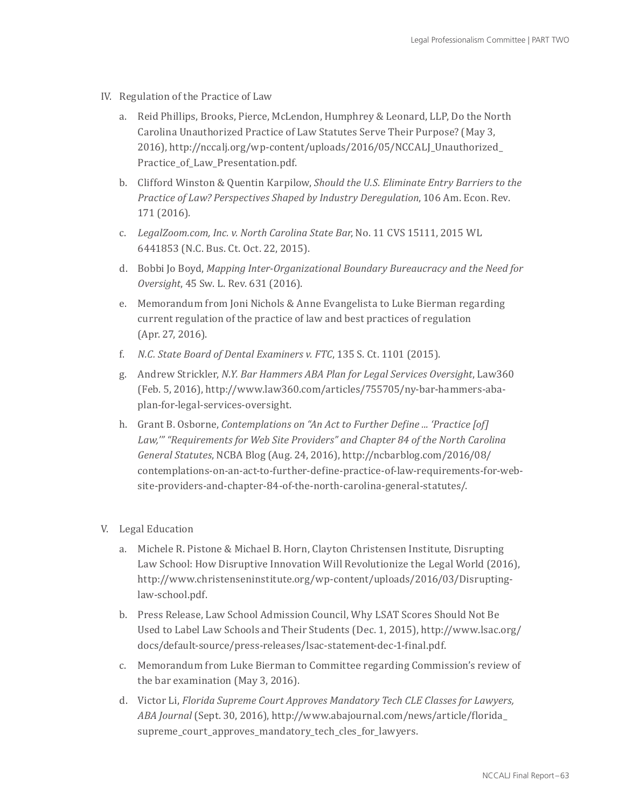- IV. Regulation of the Practice of Law
	- a. Reid Phillips, Brooks, Pierce, McLendon, Humphrey & Leonard, LLP, Do the North Carolina Unauthorized Practice of Law Statutes Serve Their Purpose? (May 3, 2016), http://nccalj.org/wp-content/uploads/2016/05/NCCALJ\_Unauthorized\_ Practice\_of\_Law\_Presentation.pdf.
	- b. Clifford Winston & Quentin Karpilow, *Should the U.S. Eliminate Entry Barriers to the Practice of Law? Perspectives Shaped by Industry Deregulation*, 106 Am. Econ. Rev. 171 (2016).
	- c. *LegalZoom.com, Inc. v. North Carolina State Bar*, No. 11 CVS 15111, 2015 WL 6441853 (N.C. Bus. Ct. Oct. 22, 2015).
	- d. Bobbi Jo Boyd, *Mapping Inter-Organizational Boundary Bureaucracy and the Need for Oversight*, 45 Sw. L. Rev. 631 (2016).
	- e. Memorandum from Joni Nichols & Anne Evangelista to Luke Bierman regarding current regulation of the practice of law and best practices of regulation (Apr. 27, 2016).
	- f. *N.C. State Board of Dental Examiners v. FTC*, 135 S. Ct. 1101 (2015).
	- g. Andrew Strickler, *N.Y. Bar Hammers ABA Plan for Legal Services Oversight*, Law360 (Feb. 5, 2016), http://www.law360.com/articles/755705/ny-bar-hammers-abaplan-for-legal-services-oversight.
	- h. Grant B. Osborne, *Contemplations on "An Act to Further Define ... 'Practice [of] Law,'" "Requirements for Web Site Providers" and Chapter 84 of the North Carolina General Statutes*, NCBA Blog (Aug. 24, 2016), http://ncbarblog.com/2016/08/ contemplations-on-an-act-to-further-define-practice-of-law-requirements-for-website-providers-and-chapter-84-of-the-north-carolina-general-statutes/.
- V. Legal Education
	- a. Michele R. Pistone & Michael B. Horn, Clayton Christensen Institute, Disrupting Law School: How Disruptive Innovation Will Revolutionize the Legal World (2016), http://www.christenseninstitute.org/wp-content/uploads/2016/03/Disruptinglaw-school.pdf.
	- b. Press Release, Law School Admission Council, Why LSAT Scores Should Not Be Used to Label Law Schools and Their Students (Dec. 1, 2015), http://www.lsac.org/ docs/default-source/press-releases/lsac-statement-dec-1-final.pdf.
	- c. Memorandum from Luke Bierman to Committee regarding Commission's review of the bar examination (May 3, 2016).
	- d. Victor Li, *Florida Supreme Court Approves Mandatory Tech CLE Classes for Lawyers, ABA Journal* (Sept. 30, 2016), http://www.abajournal.com/news/article/florida\_ supreme\_court\_approves\_mandatory\_tech\_cles\_for\_lawyers.